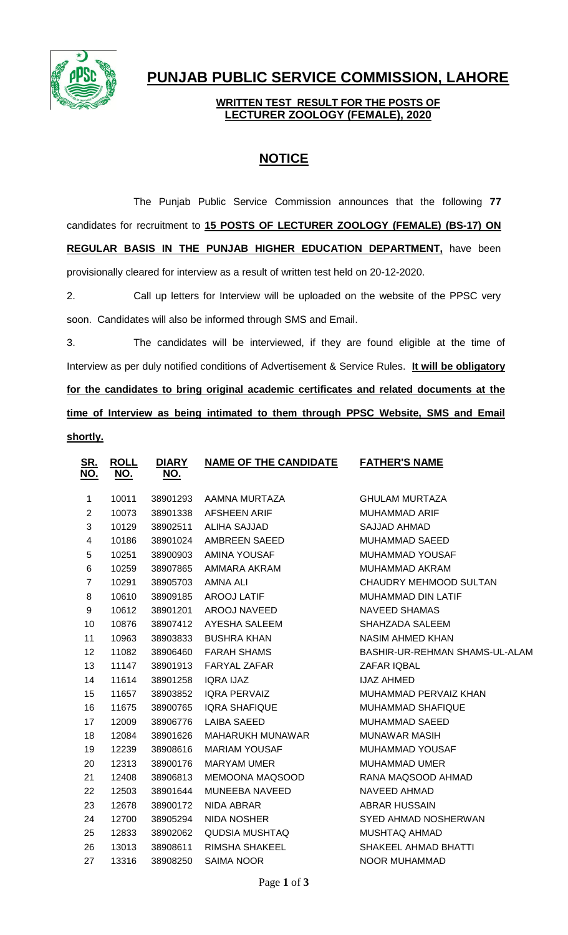

## **PUNJAB PUBLIC SERVICE COMMISSION, LAHORE**

## **WRITTEN TEST RESULT FOR THE POSTS OF LECTURER ZOOLOGY (FEMALE), 2020**

## **NOTICE**

The Punjab Public Service Commission announces that the following **77** candidates for recruitment to **15 POSTS OF LECTURER ZOOLOGY (FEMALE) (BS-17) ON REGULAR BASIS IN THE PUNJAB HIGHER EDUCATION DEPARTMENT,** have been provisionally cleared for interview as a result of written test held on 20-12-2020.

2. Call up letters for Interview will be uploaded on the website of the PPSC very soon. Candidates will also be informed through SMS and Email.

3. The candidates will be interviewed, if they are found eligible at the time of Interview as per duly notified conditions of Advertisement & Service Rules. **It will be obligatory for the candidates to bring original academic certificates and related documents at the time of Interview as being intimated to them through PPSC Website, SMS and Email shortly.**

| <u>SR.</u><br><u>NO.</u> | <b>ROLL</b><br><u>NO.</u> | <b>DIARY</b><br><u>NO.</u> | <b>NAME OF THE CANDIDATE</b> | <b>FATHER'S NAME</b>           |
|--------------------------|---------------------------|----------------------------|------------------------------|--------------------------------|
| 1                        | 10011                     | 38901293                   | AAMNA MURTAZA                | <b>GHULAM MURTAZA</b>          |
| $\overline{2}$           | 10073                     | 38901338                   | <b>AFSHEEN ARIF</b>          | <b>MUHAMMAD ARIF</b>           |
| 3                        | 10129                     | 38902511                   | <b>ALIHA SAJJAD</b>          | SAJJAD AHMAD                   |
| 4                        | 10186                     | 38901024                   | AMBREEN SAEED                | <b>MUHAMMAD SAEED</b>          |
| 5                        | 10251                     | 38900903                   | AMINA YOUSAF                 | <b>MUHAMMAD YOUSAF</b>         |
| 6                        | 10259                     | 38907865                   | AMMARA AKRAM                 | MUHAMMAD AKRAM                 |
| $\overline{7}$           | 10291                     | 38905703                   | AMNA ALI                     | CHAUDRY MEHMOOD SULTAN         |
| 8                        | 10610                     | 38909185                   | <b>AROOJ LATIF</b>           | <b>MUHAMMAD DIN LATIF</b>      |
| 9                        | 10612                     | 38901201                   | AROOJ NAVEED                 | <b>NAVEED SHAMAS</b>           |
| 10                       | 10876                     | 38907412                   | AYESHA SALEEM                | SHAHZADA SALEEM                |
| 11                       | 10963                     | 38903833                   | <b>BUSHRA KHAN</b>           | <b>NASIM AHMED KHAN</b>        |
| 12                       | 11082                     | 38906460                   | <b>FARAH SHAMS</b>           | BASHIR-UR-REHMAN SHAMS-UL-ALAM |
| 13                       | 11147                     | 38901913                   | <b>FARYAL ZAFAR</b>          | ZAFAR IQBAL                    |
| 14                       | 11614                     | 38901258                   | <b>IQRA IJAZ</b>             | <b>IJAZ AHMED</b>              |
| 15                       | 11657                     | 38903852                   | <b>IQRA PERVAIZ</b>          | MUHAMMAD PERVAIZ KHAN          |
| 16                       | 11675                     | 38900765                   | <b>IQRA SHAFIQUE</b>         | <b>MUHAMMAD SHAFIQUE</b>       |
| 17                       | 12009                     | 38906776                   | <b>LAIBA SAEED</b>           | <b>MUHAMMAD SAEED</b>          |
| 18                       | 12084                     | 38901626                   | <b>MAHARUKH MUNAWAR</b>      | <b>MUNAWAR MASIH</b>           |
| 19                       | 12239                     | 38908616                   | <b>MARIAM YOUSAF</b>         | <b>MUHAMMAD YOUSAF</b>         |
| 20                       | 12313                     | 38900176                   | <b>MARYAM UMER</b>           | <b>MUHAMMAD UMER</b>           |
| 21                       | 12408                     | 38906813                   | <b>MEMOONA MAQSOOD</b>       | RANA MAQSOOD AHMAD             |
| 22                       | 12503                     | 38901644                   | MUNEEBA NAVEED               | <b>NAVEED AHMAD</b>            |
| 23                       | 12678                     | 38900172                   | NIDA ABRAR                   | <b>ABRAR HUSSAIN</b>           |
| 24                       | 12700                     | 38905294                   | <b>NIDA NOSHER</b>           | SYED AHMAD NOSHERWAN           |
| 25                       | 12833                     | 38902062                   | QUDSIA MUSHTAQ               | <b>MUSHTAQ AHMAD</b>           |
| 26                       | 13013                     | 38908611                   | RIMSHA SHAKEEL               | SHAKEEL AHMAD BHATTI           |
| 27                       | 13316                     | 38908250                   | <b>SAIMA NOOR</b>            | <b>NOOR MUHAMMAD</b>           |
|                          |                           |                            |                              |                                |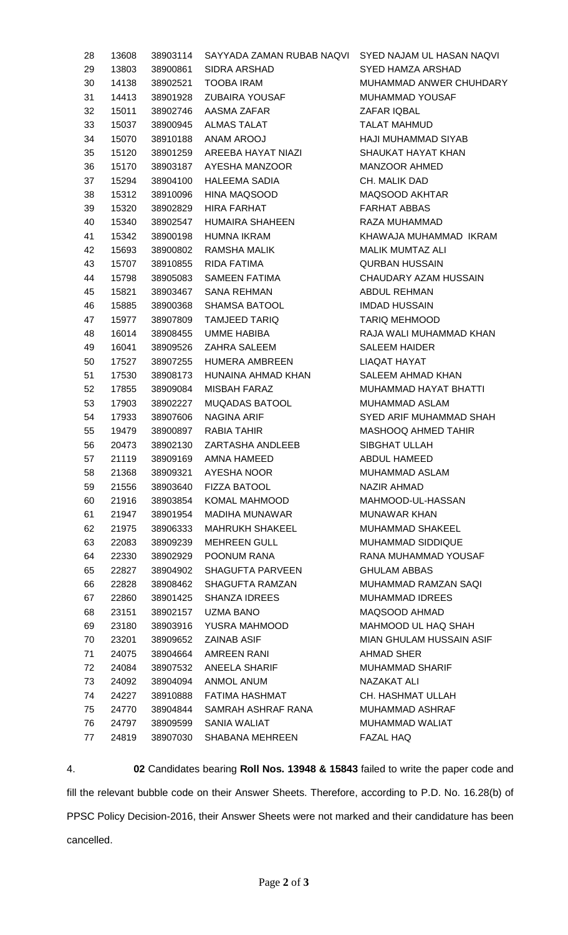| 28 | 13608 | 38903114 | SAYYADA ZAMAN RUBAB NAQVI SYED NAJAM UL HASAN NAQVI |                          |
|----|-------|----------|-----------------------------------------------------|--------------------------|
| 29 | 13803 | 38900861 | SIDRA ARSHAD                                        | SYED HAMZA ARSHAD        |
| 30 | 14138 | 38902521 | <b>TOOBA IRAM</b>                                   | MUHAMMAD ANWER CHUHDARY  |
| 31 | 14413 | 38901928 | <b>ZUBAIRA YOUSAF</b>                               | MUHAMMAD YOUSAF          |
| 32 | 15011 | 38902746 | AASMA ZAFAR                                         | ZAFAR IQBAL              |
| 33 | 15037 | 38900945 | ALMAS TALAT                                         | <b>TALAT MAHMUD</b>      |
| 34 | 15070 | 38910188 | ANAM AROOJ                                          | HAJI MUHAMMAD SIYAB      |
| 35 | 15120 | 38901259 | AREEBA HAYAT NIAZI                                  | SHAUKAT HAYAT KHAN       |
| 36 | 15170 | 38903187 | AYESHA MANZOOR                                      | MANZOOR AHMED            |
| 37 | 15294 | 38904100 | <b>HALEEMA SADIA</b>                                | CH. MALIK DAD            |
| 38 | 15312 | 38910096 | HINA MAQSOOD                                        | MAQSOOD AKHTAR           |
| 39 | 15320 | 38902829 | HIRA FARHAT                                         | <b>FARHAT ABBAS</b>      |
| 40 | 15340 | 38902547 | HUMAIRA SHAHEEN                                     | RAZA MUHAMMAD            |
| 41 | 15342 | 38900198 | <b>HUMNA IKRAM</b>                                  | KHAWAJA MUHAMMAD IKRAM   |
| 42 | 15693 | 38900802 | RAMSHA MALIK                                        | <b>MALIK MUMTAZ ALI</b>  |
| 43 | 15707 | 38910855 | RIDA FATIMA                                         | <b>QURBAN HUSSAIN</b>    |
| 44 | 15798 | 38905083 | SAMEEN FATIMA                                       | CHAUDARY AZAM HUSSAIN    |
| 45 | 15821 | 38903467 | <b>SANA REHMAN</b>                                  | ABDUL REHMAN             |
| 46 | 15885 | 38900368 | <b>SHAMSA BATOOL</b>                                | <b>IMDAD HUSSAIN</b>     |
| 47 | 15977 | 38907809 | <b>TAMJEED TARIQ</b>                                | <b>TARIQ MEHMOOD</b>     |
| 48 | 16014 | 38908455 | UMME HABIBA                                         | RAJA WALI MUHAMMAD KHAN  |
| 49 | 16041 | 38909526 | ZAHRA SALEEM                                        | <b>SALEEM HAIDER</b>     |
| 50 | 17527 | 38907255 | HUMERA AMBREEN                                      | LIAQAT HAYAT             |
| 51 | 17530 | 38908173 | HUNAINA AHMAD KHAN                                  | SALEEM AHMAD KHAN        |
| 52 | 17855 | 38909084 | MISBAH FARAZ                                        | MUHAMMAD HAYAT BHATTI    |
| 53 | 17903 | 38902227 | <b>MUQADAS BATOOL</b>                               | MUHAMMAD ASLAM           |
| 54 | 17933 | 38907606 | <b>NAGINA ARIF</b>                                  | SYED ARIF MUHAMMAD SHAH  |
| 55 | 19479 | 38900897 | RABIA TAHIR                                         | MASHOOQ AHMED TAHIR      |
| 56 | 20473 | 38902130 | ZARTASHA ANDLEEB                                    | SIBGHAT ULLAH            |
| 57 | 21119 | 38909169 | AMNA HAMEED                                         | ABDUL HAMEED             |
| 58 | 21368 | 38909321 | AYESHA NOOR                                         | <b>MUHAMMAD ASLAM</b>    |
| 59 | 21556 | 38903640 | <b>FIZZA BATOOL</b>                                 | NAZIR AHMAD              |
| 60 | 21916 | 38903854 | KOMAL MAHMOOD                                       | MAHMOOD-UL-HASSAN        |
| 61 | 21947 | 38901954 | MADIHA MUNAWAR                                      | <b>MUNAWAR KHAN</b>      |
| 62 | 21975 | 38906333 | <b>MAHRUKH SHAKEEL</b>                              | <b>MUHAMMAD SHAKEEL</b>  |
| 63 | 22083 | 38909239 | <b>MEHREEN GULL</b>                                 | <b>MUHAMMAD SIDDIQUE</b> |
| 64 | 22330 | 38902929 | POONUM RANA                                         | RANA MUHAMMAD YOUSAF     |
| 65 | 22827 | 38904902 | SHAGUFTA PARVEEN                                    | <b>GHULAM ABBAS</b>      |
| 66 | 22828 | 38908462 | SHAGUFTA RAMZAN                                     | MUHAMMAD RAMZAN SAQI     |
| 67 | 22860 | 38901425 | <b>SHANZA IDREES</b>                                | <b>MUHAMMAD IDREES</b>   |
| 68 | 23151 | 38902157 | UZMA BANO                                           | MAQSOOD AHMAD            |
| 69 | 23180 | 38903916 | YUSRA MAHMOOD                                       | MAHMOOD UL HAQ SHAH      |
| 70 | 23201 | 38909652 | <b>ZAINAB ASIF</b>                                  | MIAN GHULAM HUSSAIN ASIF |
| 71 | 24075 | 38904664 | AMREEN RANI                                         | <b>AHMAD SHER</b>        |
| 72 | 24084 | 38907532 | ANEELA SHARIF                                       | <b>MUHAMMAD SHARIF</b>   |
| 73 | 24092 | 38904094 | ANMOL ANUM                                          | NAZAKAT ALI              |
| 74 | 24227 | 38910888 | FATIMA HASHMAT                                      | CH. HASHMAT ULLAH        |
| 75 | 24770 | 38904844 | SAMRAH ASHRAF RANA                                  | MUHAMMAD ASHRAF          |
| 76 | 24797 | 38909599 | SANIA WALIAT                                        | MUHAMMAD WALIAT          |
| 77 | 24819 | 38907030 | SHABANA MEHREEN                                     | <b>FAZAL HAQ</b>         |
|    |       |          |                                                     |                          |

4. **02** Candidates bearing **Roll Nos. 13948 & 15843** failed to write the paper code and fill the relevant bubble code on their Answer Sheets. Therefore, according to P.D. No. 16.28(b) of PPSC Policy Decision-2016, their Answer Sheets were not marked and their candidature has been cancelled.